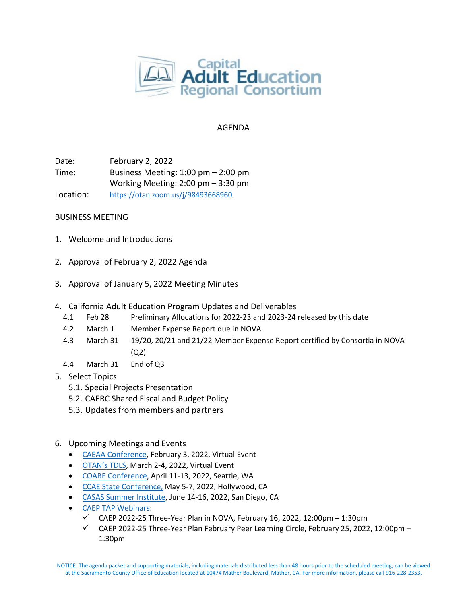

## AGENDA

Date: February 2, 2022 Time: Business Meeting: 1:00 pm – 2:00 pm Working Meeting: 2:00 pm – 3:30 pm Location: <https://otan.zoom.us/j/98493668960>

## BUSINESS MEETING

- 1. Welcome and Introductions
- 2. Approval of February 2, 2022 Agenda
- 3. Approval of January 5, 2022 Meeting Minutes
- 4. California Adult Education Program Updates and Deliverables
	- 4.1 Feb 28 Preliminary Allocations for 2022-23 and 2023-24 released by this date
	- 4.2 March 1 Member Expense Report due in NOVA
	- 4.3 March 31 19/20, 20/21 and 21/22 Member Expense Report certified by Consortia in NOVA (Q2)
	- 4.4 March 31 End of Q3
- 5. Select Topics
	- 5.1. Special Projects Presentation
	- 5.2. CAERC Shared Fiscal and Budget Policy
	- 5.3. Updates from members and partners
- 6. Upcoming Meetings and Events
	- [CAEAA Conference,](https://www.caeaa.org/2022-conference-registration.html) February 3, 2022, Virtual Event
	- [OTAN's TDLS,](https://tdls.otan.us/) March 2-4, 2022, Virtual Event
	- [COABE Conference,](https://coabe.org/2022-coabe-national-conference/) April 11-13, 2022, Seattle, WA
	- [CCAE State Conference,](https://www.ccaestate.org/conference-2022.html) May 5-7, 2022, Hollywood, CA
	- [CASAS Summer Institute,](https://www.casas.org/training-and-support/SI/prepare-for-2022) June 14-16, 2022, San Diego, CA
	- [CAEP TAP Webinars:](https://caladulted.org/Events)
		- $\checkmark$  CAEP 2022-25 Three-Year Plan in NOVA, February 16, 2022, 12:00pm 1:30pm
		- $\checkmark$  CAEP 2022-25 Three-Year Plan February Peer Learning Circle, February 25, 2022, 12:00pm -1:30pm